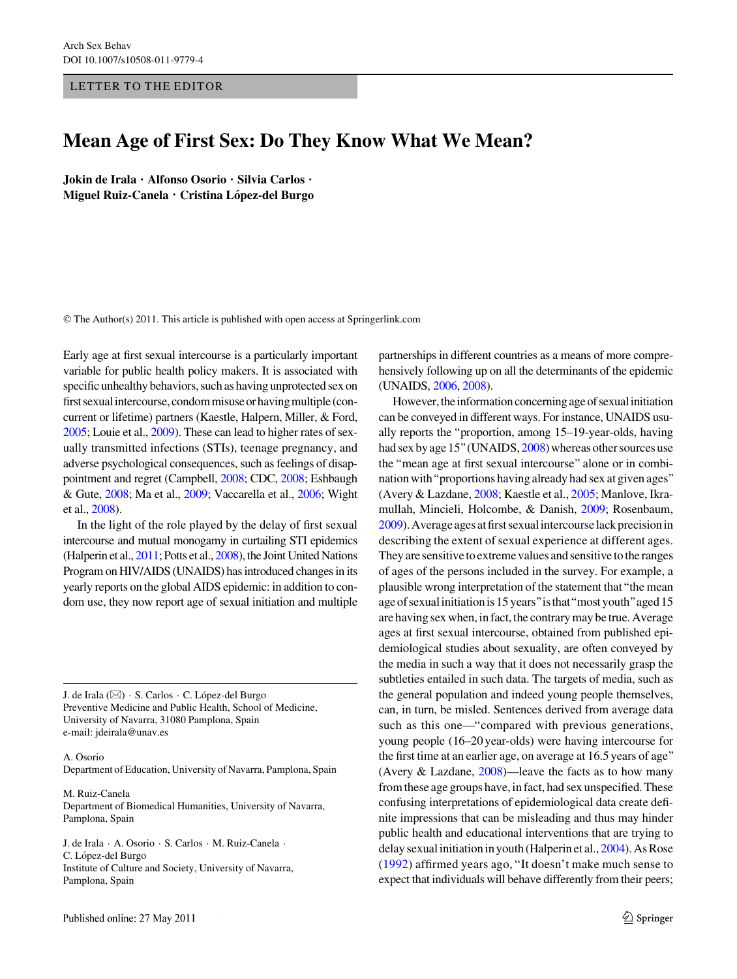## LETTER TO THE EDITOR

## Mean Age of First Sex: Do They Know What We Mean?

Jokin de Irala • Alfonso Osorio • Silvia Carlos • Miguel Ruiz-Canela · Cristina López-del Burgo

© The Author(s) 2011. This article is published with open access at Springerlink.com

Early age at first sexual intercourse is a particularly important variable for public health policy makers. It is associated with specific unhealthy behaviors, such as having unprotected sex on first sexual intercourse, condom misuse or having multiple (concurrent or lifetime) partners (Kaestle, Halpern, Miller, & Ford, [2005](#page-2-0); Louie et al., [2009](#page-2-0)). These can lead to higher rates of sexually transmitted infections (STIs), teenage pregnancy, and adverse psychological consequences, such as feelings of disappointment and regret (Campbell, [2008](#page-2-0); CDC, [2008](#page-2-0); Eshbaugh & Gute, [2008](#page-2-0); Ma et al., [2009;](#page-2-0) Vaccarella et al., [2006;](#page-2-0) Wight et al., [2008](#page-2-0)).

In the light of the role played by the delay of first sexual intercourse and mutual monogamy in curtailing STI epidemics (Halperin et al., [2011](#page-2-0); Potts et al., [2008\)](#page-2-0), the Joint United Nations Program on HIV/AIDS (UNAIDS) has introduced changes in its yearly reports on the global AIDS epidemic: in addition to condom use, they now report age of sexual initiation and multiple

J. de Irala (⊠) · S. Carlos · C. López-del Burgo Preventive Medicine and Public Health, School of Medicine, University of Navarra, 31080 Pamplona, Spain e-mail: jdeirala@unav.es

## A. Osorio

Department of Education, University of Navarra, Pamplona, Spain

M. Ruiz-Canela Department of Biomedical Humanities, University of Navarra, Pamplona, Spain

J. de Irala - A. Osorio - S. Carlos - M. Ruiz-Canela - C. López-del Burgo Institute of Culture and Society, University of Navarra, Pamplona, Spain

partnerships in different countries as a means of more comprehensively following up on all the determinants of the epidemic (UNAIDS, [2006](#page-2-0), [2008](#page-2-0)).

However, the information concerning age of sexual initiation can be conveyed in different ways. For instance, UNAIDS usually reports the ''proportion, among 15–19-year-olds, having had sex by age 15" (UNAIDS, [2008](#page-2-0)) whereas other sources use the ''mean age at first sexual intercourse'' alone or in combination with''proportions having already had sex at given ages'' (Avery & Lazdane, [2008;](#page-2-0) Kaestle et al., [2005](#page-2-0); Manlove, Ikramullah, Mincieli, Holcombe, & Danish, [2009](#page-2-0); Rosenbaum, [2009\)](#page-2-0). Average ages at first sexual intercourse lack precision in describing the extent of sexual experience at different ages. They are sensitive to extreme values and sensitive to the ranges of ages of the persons included in the survey. For example, a plausible wrong interpretation of the statement that''the mean age of sexual initiation is 15 years" is that "most youth" aged 15 are having sex when, in fact, the contrary may be true. Average ages at first sexual intercourse, obtained from published epidemiological studies about sexuality, are often conveyed by the media in such a way that it does not necessarily grasp the subtleties entailed in such data. The targets of media, such as the general population and indeed young people themselves, can, in turn, be misled. Sentences derived from average data such as this one—''compared with previous generations, young people (16–20 year-olds) were having intercourse for the first time at an earlier age, on average at 16.5 years of age'' (Avery  $\&$  Lazdane, [2008](#page-2-0))—leave the facts as to how many from these age groups have, in fact, had sex unspecified. These confusing interpretations of epidemiological data create definite impressions that can be misleading and thus may hinder public health and educational interventions that are trying to delay sexual initiation in youth (Halperin et al., [2004](#page-2-0)). As Rose ([1992](#page-2-0)) affirmed years ago,''It doesn't make much sense to expect that individuals will behave differently from their peers;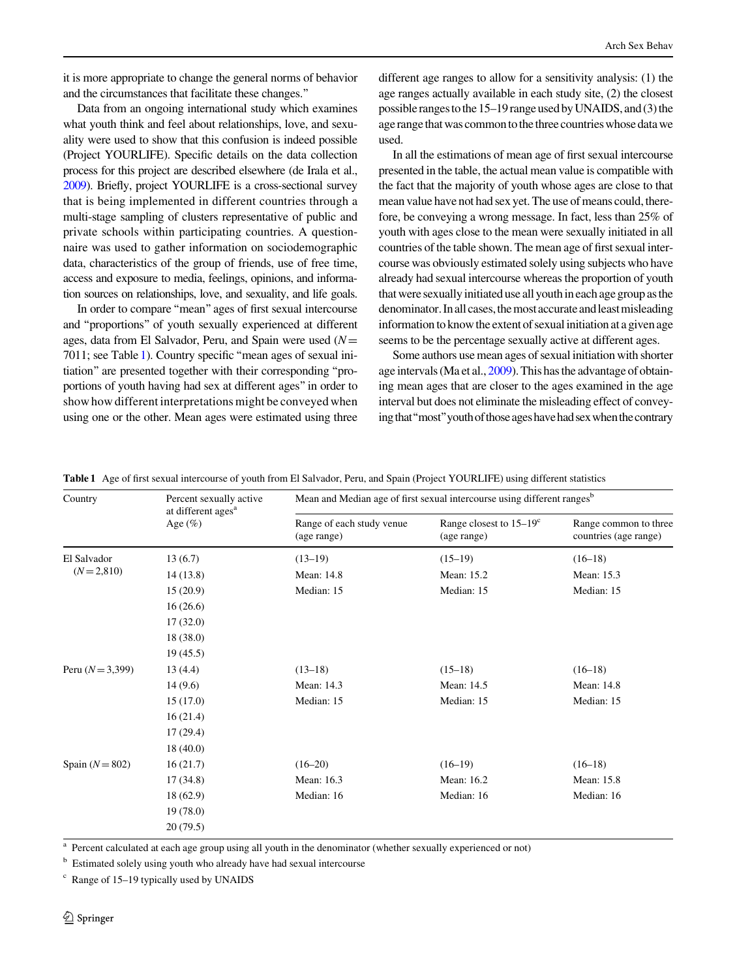it is more appropriate to change the general norms of behavior and the circumstances that facilitate these changes.''

Data from an ongoing international study which examines what youth think and feel about relationships, love, and sexuality were used to show that this confusion is indeed possible (Project YOURLIFE). Specific details on the data collection process for this project are described elsewhere (de Irala et al., [2009\)](#page-2-0). Briefly, project YOURLIFE is a cross-sectional survey that is being implemented in different countries through a multi-stage sampling of clusters representative of public and private schools within participating countries. A questionnaire was used to gather information on sociodemographic data, characteristics of the group of friends, use of free time, access and exposure to media, feelings, opinions, and information sources on relationships, love, and sexuality, and life goals.

In order to compare''mean''ages of first sexual intercourse and ''proportions'' of youth sexually experienced at different ages, data from El Salvador, Peru, and Spain were used  $(N=$ 7011; see Table 1). Country specific''mean ages of sexual initiation'' are presented together with their corresponding ''proportions of youth having had sex at different ages'' in order to show how different interpretations might be conveyed when using one or the other. Mean ages were estimated using three

different age ranges to allow for a sensitivity analysis: (1) the age ranges actually available in each study site, (2) the closest possible ranges to the 15–19 range used by UNAIDS, and (3) the age range that was common to the three countries whose data we used.

In all the estimations of mean age of first sexual intercourse presented in the table, the actual mean value is compatible with the fact that the majority of youth whose ages are close to that mean value have not had sex yet. The use of means could, therefore, be conveying a wrong message. In fact, less than 25% of youth with ages close to the mean were sexually initiated in all countries of the table shown. The mean age of first sexual intercourse was obviously estimated solely using subjects who have already had sexual intercourse whereas the proportion of youth that were sexually initiated use all youth in each age group as the denominator. In all cases, the most accurate and least misleading information to know the extentof sexual initiation at a given age seems to be the percentage sexually active at different ages.

Some authors use mean ages of sexual initiation with shorter age intervals (Ma et al., [2009\)](#page-2-0). This has the advantage of obtaining mean ages that are closer to the ages examined in the age interval but does not eliminate the misleading effect of conveying that "most" youth of those ages have had sex when the contrary

| (age range) | Range common to three<br>countries (age range)                   |
|-------------|------------------------------------------------------------------|
| $(15-19)$   | $(16-18)$                                                        |
| Mean: 15.2  | Mean: 15.3                                                       |
| Median: 15  | Median: 15                                                       |
|             |                                                                  |
|             |                                                                  |
|             |                                                                  |
|             |                                                                  |
| $(15-18)$   | $(16-18)$                                                        |
| Mean: 14.5  | Mean: 14.8                                                       |
| Median: 15  | Median: 15                                                       |
|             |                                                                  |
|             |                                                                  |
|             |                                                                  |
| $(16-19)$   | $(16-18)$                                                        |
| Mean: 16.2  | Mean: 15.8                                                       |
| Median: 16  | Median: 16                                                       |
|             |                                                                  |
|             |                                                                  |
|             | Range closest to 15-19 <sup>c</sup><br>Range of each study venue |

Table 1 Age of first sexual intercourse of youth from El Salvador, Peru, and Spain (Project YOURLIFE) using different statistics

<sup>a</sup> Percent calculated at each age group using all youth in the denominator (whether sexually experienced or not)

<sup>b</sup> Estimated solely using youth who already have had sexual intercourse

<sup>c</sup> Range of 15–19 typically used by UNAIDS